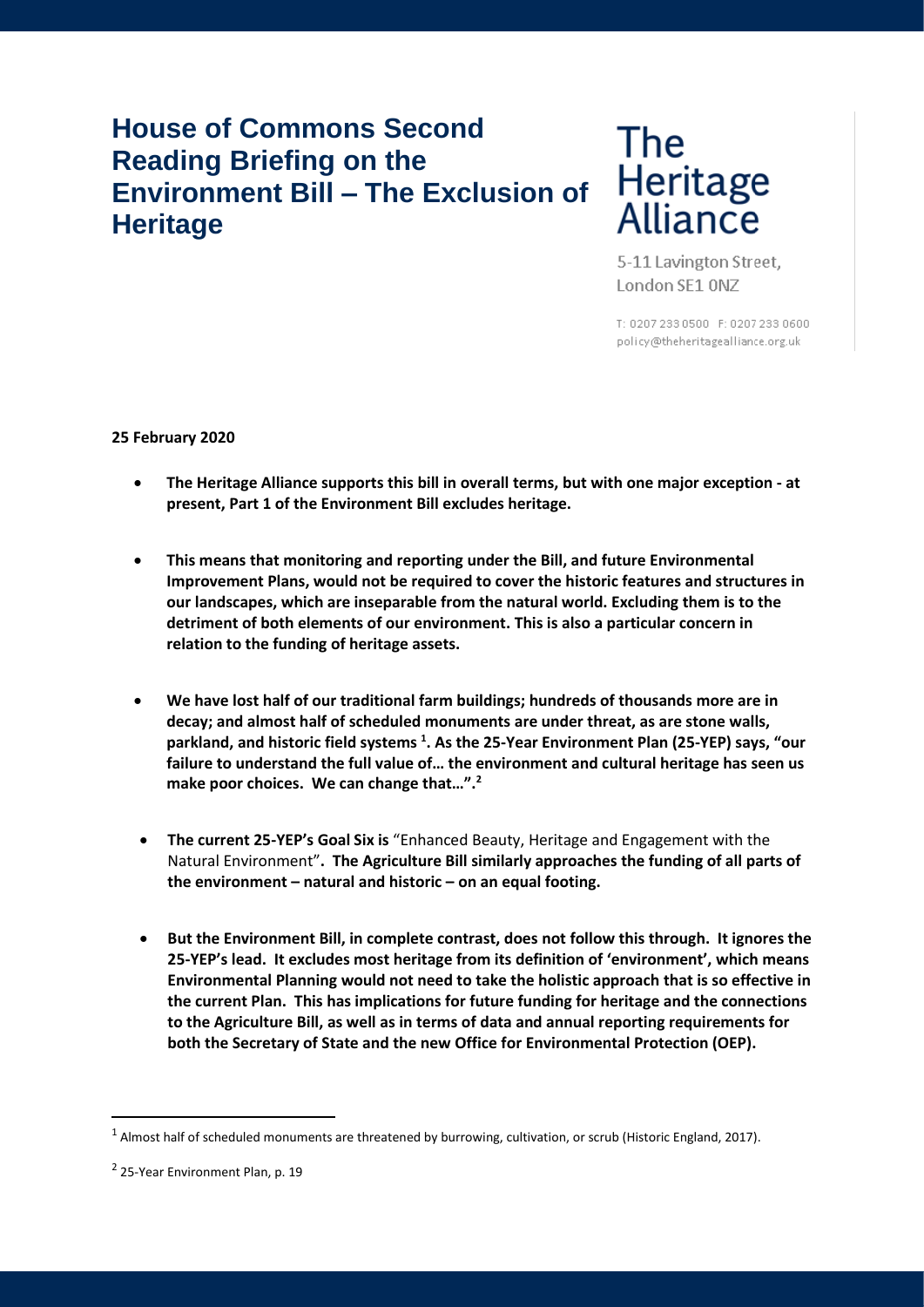# **House of Commons Second Reading Briefing on the Environment Bill – The Exclusion of Heritage**

# **The** Heritage<br>Alliance

5-11 Lavington Street, London SE1 0NZ

T: 0207 233 0500 F: 0207 233 0600 policy@theheritagealliance.org.uk

# **25 February 2020**

- **The Heritage Alliance supports this bill in overall terms, but with one major exception - at present, Part 1 of the Environment Bill excludes heritage.**
- **This means that monitoring and reporting under the Bill, and future Environmental Improvement Plans, would not be required to cover the historic features and structures in our landscapes, which are inseparable from the natural world. Excluding them is to the detriment of both elements of our environment. This is also a particular concern in relation to the funding of heritage assets.**
- **We have lost half of our traditional farm buildings; hundreds of thousands more are in decay; and almost half of scheduled monuments are under threat, as are stone walls, parkland, and historic field systems <sup>1</sup> . As the 25-Year Environment Plan (25-YEP) says, "our failure to understand the full value of… the environment and cultural heritage has seen us make poor choices. We can change that…".<sup>2</sup>**
- **The current 25-YEP's Goal Six is** "Enhanced Beauty, Heritage and Engagement with the Natural Environment"**. The Agriculture Bill similarly approaches the funding of all parts of the environment – natural and historic – on an equal footing.**
- **But the Environment Bill, in complete contrast, does not follow this through. It ignores the 25-YEP's lead. It excludes most heritage from its definition of 'environment', which means Environmental Planning would not need to take the holistic approach that is so effective in the current Plan. This has implications for future funding for heritage and the connections to the Agriculture Bill, as well as in terms of data and annual reporting requirements for both the Secretary of State and the new Office for Environmental Protection (OEP).**

 $^1$  Almost half of scheduled monuments are threatened by burrowing, cultivation, or scrub (Historic England, 2017).

<sup>&</sup>lt;sup>2</sup> 25-Year Environment Plan, p. 19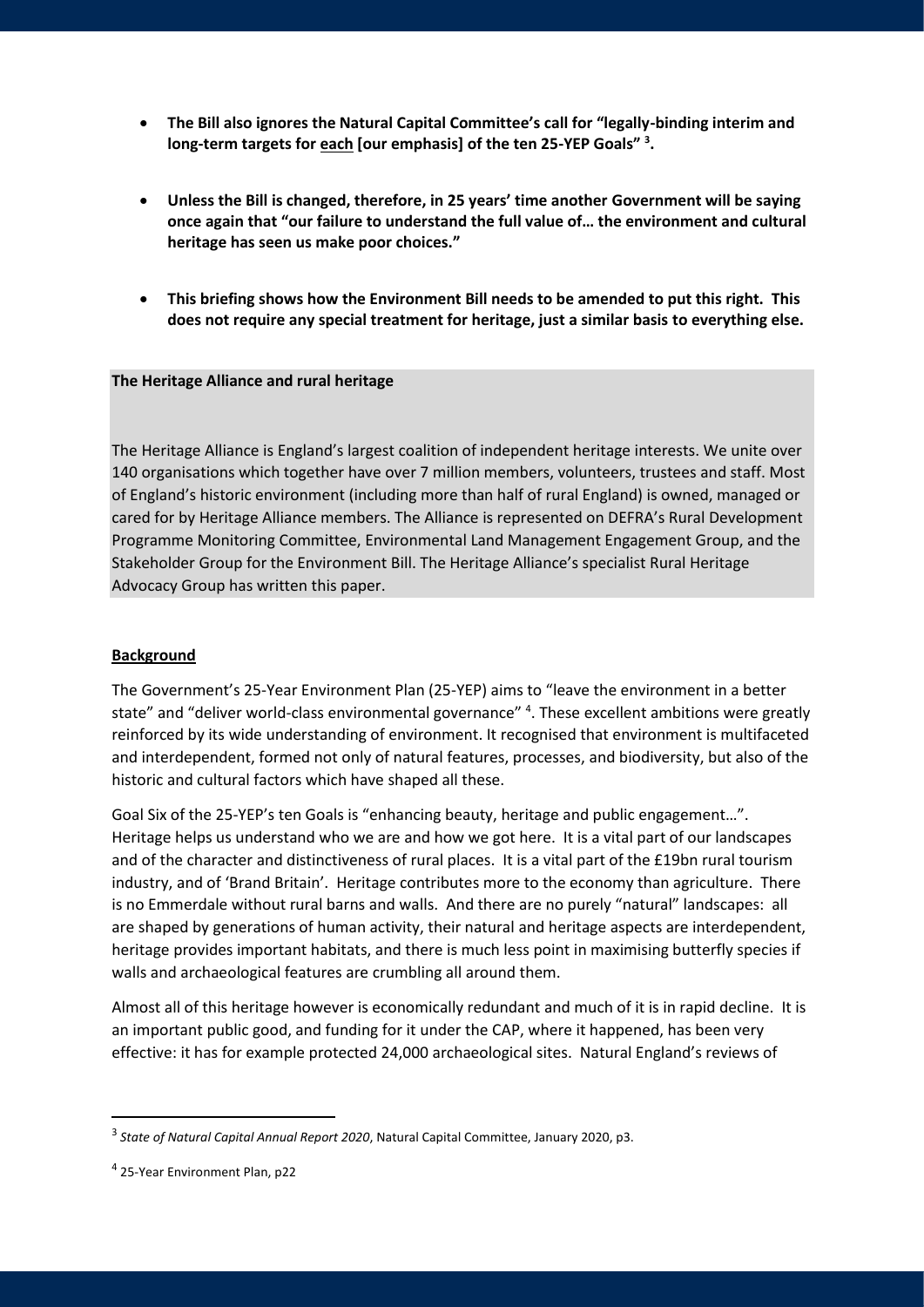- **The Bill also ignores the Natural Capital Committee's call for "legally-binding interim and long-term targets for each [our emphasis] of the ten 25-YEP Goals" <sup>3</sup> .**
- **Unless the Bill is changed, therefore, in 25 years' time another Government will be saying once again that "our failure to understand the full value of… the environment and cultural heritage has seen us make poor choices."**
- **This briefing shows how the Environment Bill needs to be amended to put this right. This does not require any special treatment for heritage, just a similar basis to everything else.**

#### **The Heritage Alliance and rural heritage**

The Heritage Alliance is England's largest coalition of independent heritage interests. We unite over 140 organisations which together have over 7 million members, volunteers, trustees and staff. Most of England's historic environment (including more than half of rural England) is owned, managed or cared for by Heritage Alliance members. The Alliance is represented on DEFRA's Rural Development Programme Monitoring Committee, Environmental Land Management Engagement Group, and the Stakeholder Group for the Environment Bill. The Heritage Alliance's specialist Rural Heritage Advocacy Group has written this paper.

#### **Background**

The Government's 25-Year Environment Plan (25-YEP) aims to "leave the environment in a better state" and "deliver world-class environmental governance" <sup>4</sup>. These excellent ambitions were greatly reinforced by its wide understanding of environment. It recognised that environment is multifaceted and interdependent, formed not only of natural features, processes, and biodiversity, but also of the historic and cultural factors which have shaped all these.

Goal Six of the 25-YEP's ten Goals is "enhancing beauty, heritage and public engagement…". Heritage helps us understand who we are and how we got here. It is a vital part of our landscapes and of the character and distinctiveness of rural places. It is a vital part of the £19bn rural tourism industry, and of 'Brand Britain'. Heritage contributes more to the economy than agriculture. There is no Emmerdale without rural barns and walls. And there are no purely "natural" landscapes: all are shaped by generations of human activity, their natural and heritage aspects are interdependent, heritage provides important habitats, and there is much less point in maximising butterfly species if walls and archaeological features are crumbling all around them.

Almost all of this heritage however is economically redundant and much of it is in rapid decline. It is an important public good, and funding for it under the CAP, where it happened, has been very effective: it has for example protected 24,000 archaeological sites. Natural England's reviews of

<sup>3</sup> *State of Natural Capital Annual Report 2020*, Natural Capital Committee, January 2020, p3.

<sup>4</sup> 25-Year Environment Plan, p22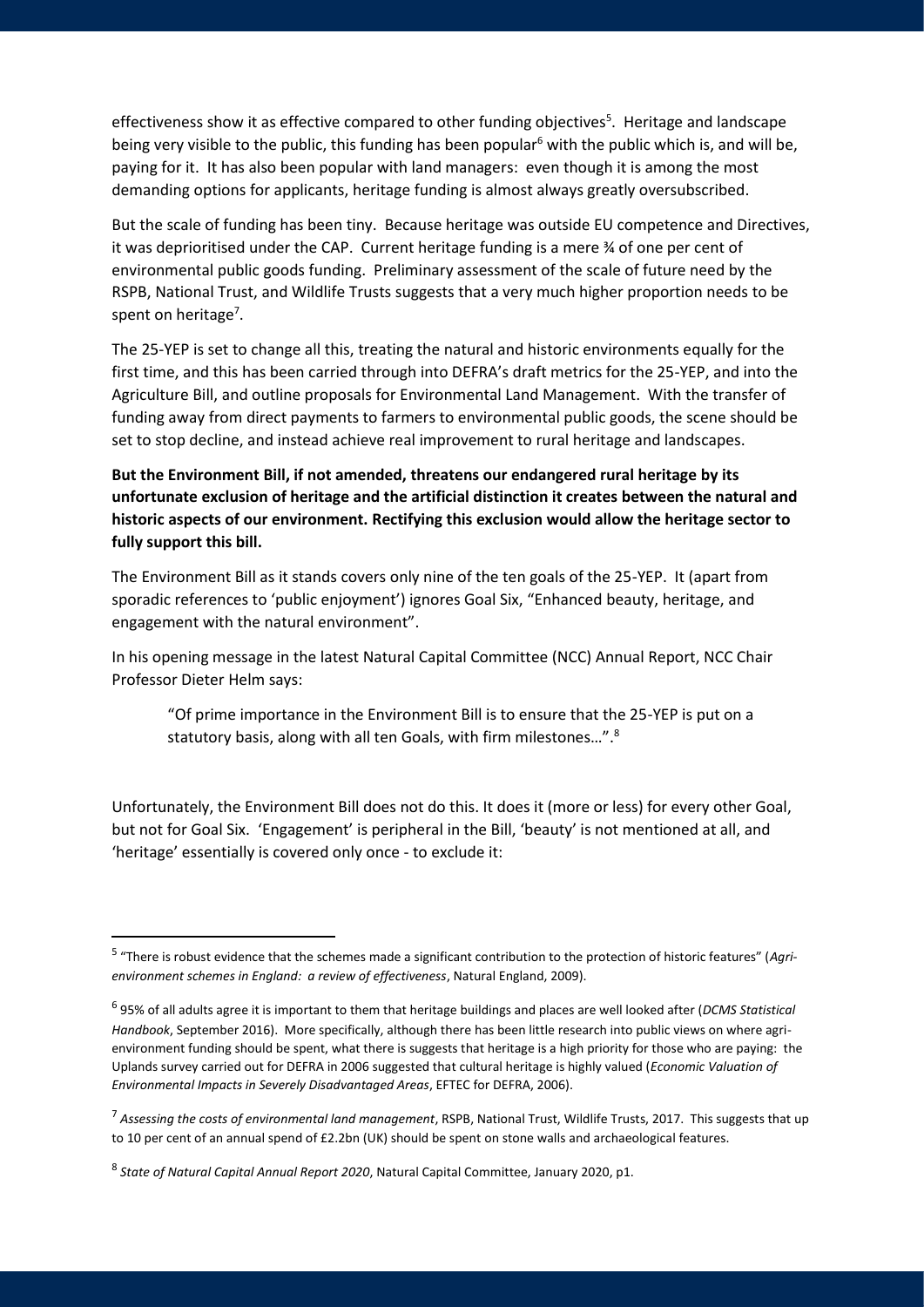effectiveness show it as effective compared to other funding objectives<sup>5</sup>. Heritage and landscape being very visible to the public, this funding has been popular<sup>6</sup> with the public which is, and will be, paying for it. It has also been popular with land managers: even though it is among the most demanding options for applicants, heritage funding is almost always greatly oversubscribed.

But the scale of funding has been tiny. Because heritage was outside EU competence and Directives, it was deprioritised under the CAP. Current heritage funding is a mere ¾ of one per cent of environmental public goods funding. Preliminary assessment of the scale of future need by the RSPB, National Trust, and Wildlife Trusts suggests that a very much higher proportion needs to be spent on heritage<sup>7</sup>.

The 25-YEP is set to change all this, treating the natural and historic environments equally for the first time, and this has been carried through into DEFRA's draft metrics for the 25-YEP, and into the Agriculture Bill, and outline proposals for Environmental Land Management. With the transfer of funding away from direct payments to farmers to environmental public goods, the scene should be set to stop decline, and instead achieve real improvement to rural heritage and landscapes.

**But the Environment Bill, if not amended, threatens our endangered rural heritage by its unfortunate exclusion of heritage and the artificial distinction it creates between the natural and historic aspects of our environment. Rectifying this exclusion would allow the heritage sector to fully support this bill.**

The Environment Bill as it stands covers only nine of the ten goals of the 25-YEP. It (apart from sporadic references to 'public enjoyment') ignores Goal Six, "Enhanced beauty, heritage, and engagement with the natural environment".

In his opening message in the latest Natural Capital Committee (NCC) Annual Report, NCC Chair Professor Dieter Helm says:

"Of prime importance in the Environment Bill is to ensure that the 25-YEP is put on a statutory basis, along with all ten Goals, with firm milestones…".<sup>8</sup>

Unfortunately, the Environment Bill does not do this. It does it (more or less) for every other Goal, but not for Goal Six. 'Engagement' is peripheral in the Bill, 'beauty' is not mentioned at all, and 'heritage' essentially is covered only once - to exclude it:

<sup>5</sup> "There is robust evidence that the schemes made a significant contribution to the protection of historic features" (*Agrienvironment schemes in England: a review of effectiveness*, Natural England, 2009).

<sup>6</sup> 95% of all adults agree it is important to them that heritage buildings and places are well looked after (*DCMS Statistical Handbook*, September 2016). More specifically, although there has been little research into public views on where agrienvironment funding should be spent, what there is suggests that heritage is a high priority for those who are paying: the Uplands survey carried out for DEFRA in 2006 suggested that cultural heritage is highly valued (*Economic Valuation of Environmental Impacts in Severely Disadvantaged Areas*, EFTEC for DEFRA, 2006).

<sup>7</sup> *Assessing the costs of environmental land management*, RSPB, National Trust, Wildlife Trusts, 2017. This suggests that up to 10 per cent of an annual spend of £2.2bn (UK) should be spent on stone walls and archaeological features.

<sup>8</sup> *State of Natural Capital Annual Report 2020*, Natural Capital Committee, January 2020, p1.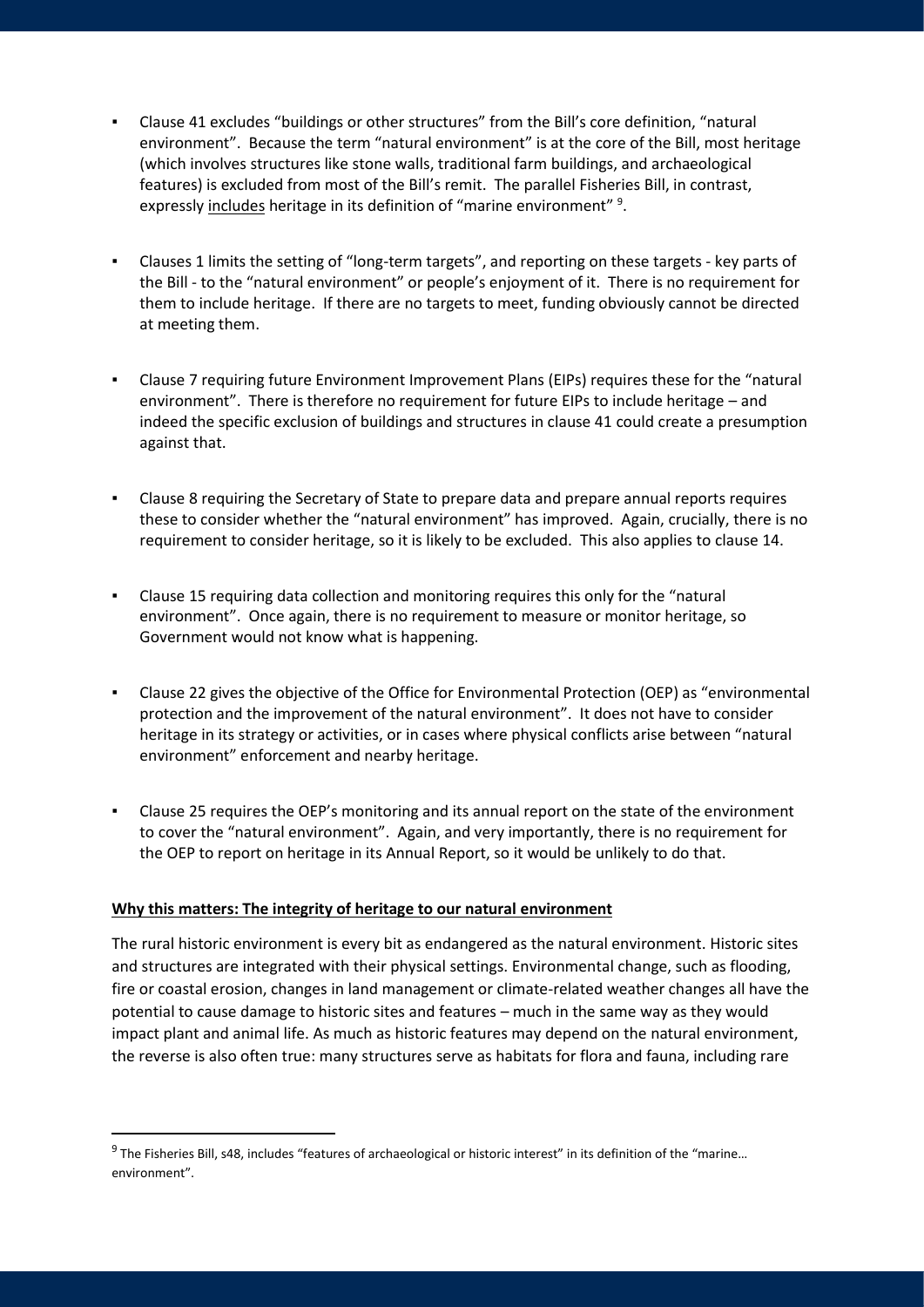- Clause 41 excludes "buildings or other structures" from the Bill's core definition, "natural environment". Because the term "natural environment" is at the core of the Bill, most heritage (which involves structures like stone walls, traditional farm buildings, and archaeological features) is excluded from most of the Bill's remit. The parallel Fisheries Bill, in contrast, expressly includes heritage in its definition of "marine environment"<sup>9</sup>.
- Clauses 1 limits the setting of "long-term targets", and reporting on these targets key parts of the Bill - to the "natural environment" or people's enjoyment of it. There is no requirement for them to include heritage. If there are no targets to meet, funding obviously cannot be directed at meeting them.
- Clause 7 requiring future Environment Improvement Plans (EIPs) requires these for the "natural environment". There is therefore no requirement for future EIPs to include heritage – and indeed the specific exclusion of buildings and structures in clause 41 could create a presumption against that.
- Clause 8 requiring the Secretary of State to prepare data and prepare annual reports requires these to consider whether the "natural environment" has improved. Again, crucially, there is no requirement to consider heritage, so it is likely to be excluded. This also applies to clause 14.
- Clause 15 requiring data collection and monitoring requires this only for the "natural environment". Once again, there is no requirement to measure or monitor heritage, so Government would not know what is happening.
- Clause 22 gives the objective of the Office for Environmental Protection (OEP) as "environmental protection and the improvement of the natural environment". It does not have to consider heritage in its strategy or activities, or in cases where physical conflicts arise between "natural environment" enforcement and nearby heritage.
- Clause 25 requires the OEP's monitoring and its annual report on the state of the environment to cover the "natural environment". Again, and very importantly, there is no requirement for the OEP to report on heritage in its Annual Report, so it would be unlikely to do that.

## **Why this matters: The integrity of heritage to our natural environment**

The rural historic environment is every bit as endangered as the natural environment. Historic sites and structures are integrated with their physical settings. Environmental change, such as flooding, fire or coastal erosion, changes in land management or climate-related weather changes all have the potential to cause damage to historic sites and features – much in the same way as they would impact plant and animal life. As much as historic features may depend on the natural environment, the reverse is also often true: many structures serve as habitats for flora and fauna, including rare

<sup>&</sup>lt;sup>9</sup> The Fisheries Bill, s48, includes "features of archaeological or historic interest" in its definition of the "marine... environment".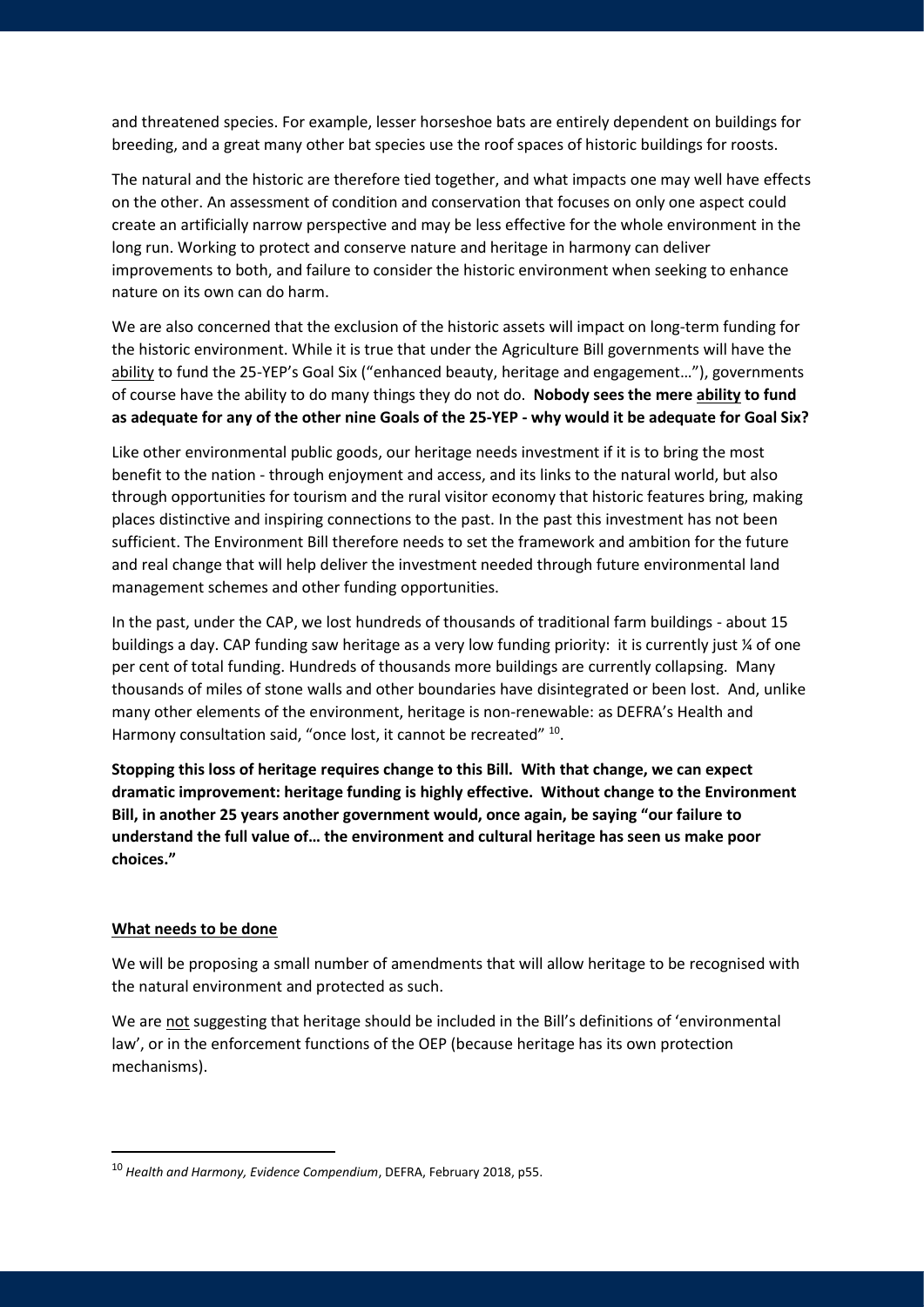and threatened species. For example, lesser horseshoe bats are entirely dependent on buildings for breeding, and a great many other bat species use the roof spaces of historic buildings for roosts.

The natural and the historic are therefore tied together, and what impacts one may well have effects on the other. An assessment of condition and conservation that focuses on only one aspect could create an artificially narrow perspective and may be less effective for the whole environment in the long run. Working to protect and conserve nature and heritage in harmony can deliver improvements to both, and failure to consider the historic environment when seeking to enhance nature on its own can do harm.

We are also concerned that the exclusion of the historic assets will impact on long-term funding for the historic environment. While it is true that under the Agriculture Bill governments will have the ability to fund the 25-YEP's Goal Six ("enhanced beauty, heritage and engagement..."), governments of course have the ability to do many things they do not do. **Nobody sees the mere ability to fund as adequate for any of the other nine Goals of the 25-YEP - why would it be adequate for Goal Six?** 

Like other environmental public goods, our heritage needs investment if it is to bring the most benefit to the nation - through enjoyment and access, and its links to the natural world, but also through opportunities for tourism and the rural visitor economy that historic features bring, making places distinctive and inspiring connections to the past. In the past this investment has not been sufficient. The Environment Bill therefore needs to set the framework and ambition for the future and real change that will help deliver the investment needed through future environmental land management schemes and other funding opportunities.

In the past, under the CAP, we lost hundreds of thousands of traditional farm buildings - about 15 buildings a day. CAP funding saw heritage as a very low funding priority: it is currently just ¼ of one per cent of total funding. Hundreds of thousands more buildings are currently collapsing. Many thousands of miles of stone walls and other boundaries have disintegrated or been lost. And, unlike many other elements of the environment, heritage is non-renewable: as DEFRA's Health and Harmony consultation said, "once lost, it cannot be recreated" <sup>10</sup>.

**Stopping this loss of heritage requires change to this Bill. With that change, we can expect dramatic improvement: heritage funding is highly effective. Without change to the Environment Bill, in another 25 years another government would, once again, be saying "our failure to understand the full value of… the environment and cultural heritage has seen us make poor choices."**

## **What needs to be done**

We will be proposing a small number of amendments that will allow heritage to be recognised with the natural environment and protected as such.

We are not suggesting that heritage should be included in the Bill's definitions of 'environmental law', or in the enforcement functions of the OEP (because heritage has its own protection mechanisms).

<sup>10</sup> *Health and Harmony, Evidence Compendium*, DEFRA, February 2018, p55.